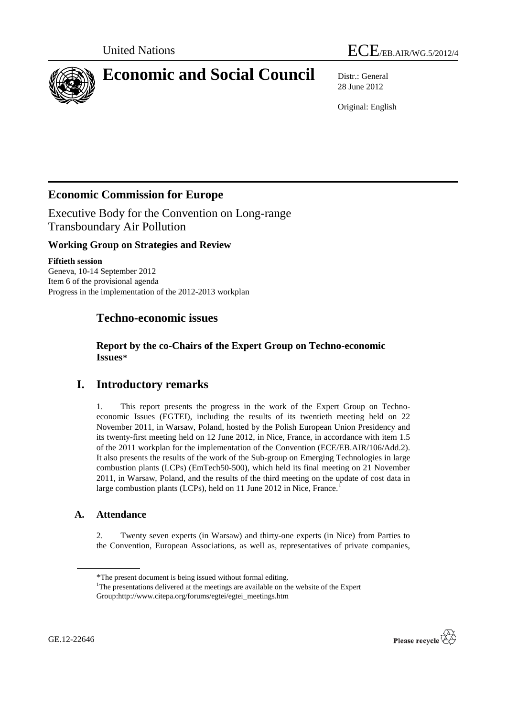



28 June 2012

Original: English

# **Economic Commission for Europe**

Executive Body for the Convention on Long-range Transboundary Air Pollution

## **Working Group on Strategies and Review**

**Fiftieth session** Geneva, 10-14 September 2012 Item 6 of the provisional agenda Progress in the implementation of the 2012-2013 workplan

## **Techno-economic issues**

## **Report by the co-Chairs of the Expert Group on Techno-economic Issues[\\*](#page-0-0)**

## **I. Introductory remarks**

1. This report presents the progress in the work of the Expert Group on Technoeconomic Issues (EGTEI), including the results of its twentieth meeting held on 22 November 2011, in Warsaw, Poland, hosted by the Polish European Union Presidency and its twenty-first meeting held on 12 June 2012, in Nice, France, in accordance with item 1.5 of the 2011 workplan for the implementation of the Convention (ECE/EB.AIR/106/Add.2). It also presents the results of the work of the Sub-group on Emerging Technologies in large combustion plants (LCPs) (EmTech50-500), which held its final meeting on 21 November 2011, in Warsaw, Poland, and the results of the third meeting on the update of cost data in large combustion plants (LCPs), held on [1](#page-0-1)1 June 2012 in Nice, France.<sup>1</sup>

## **A. Attendance**

2. Twenty seven experts (in Warsaw) and thirty-one experts (in Nice) from Parties to the Convention, European Associations, as well as, representatives of private companies,



<span id="page-0-1"></span><span id="page-0-0"></span><sup>\*</sup>The present document is being issued without formal editing. <sup>1</sup>The presentations delivered at the meetings are available on the website of the Expert Group:http://www.citepa.org/forums/egtei/egtei\_meetings.htm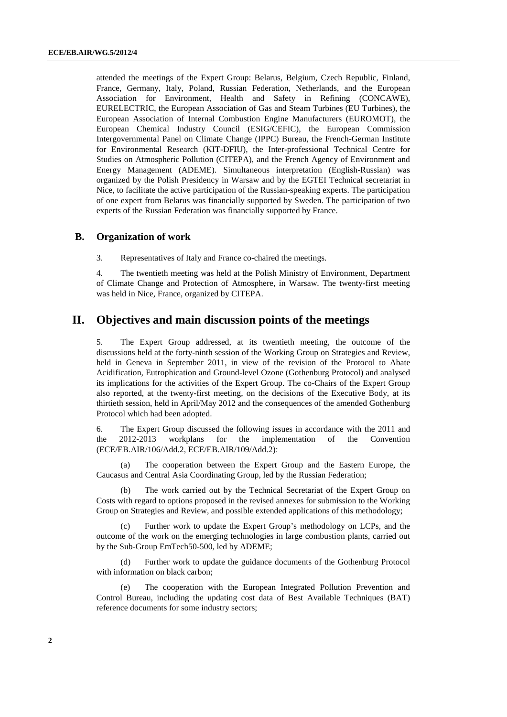attended the meetings of the Expert Group: Belarus, Belgium, Czech Republic, Finland, France, Germany, Italy, Poland, Russian Federation, Netherlands, and the European Association for Environment, Health and Safety in Refining (CONCAWE), EURELECTRIC, the European Association of Gas and Steam Turbines (EU Turbines), the European Association of Internal Combustion Engine Manufacturers (EUROMOT), the European Chemical Industry Council (ESIG/CEFIC), the European Commission Intergovernmental Panel on Climate Change (IPPC) Bureau, the French-German Institute for Environmental Research (KIT-DFIU), the Inter-professional Technical Centre for Studies on Atmospheric Pollution (CITEPA), and the French Agency of Environment and Energy Management (ADEME). Simultaneous interpretation (English-Russian) was organized by the Polish Presidency in Warsaw and by the EGTEI Technical secretariat in Nice, to facilitate the active participation of the Russian-speaking experts. The participation of one expert from Belarus was financially supported by Sweden. The participation of two experts of the Russian Federation was financially supported by France.

#### **B. Organization of work**

3. Representatives of Italy and France co-chaired the meetings.

4. The twentieth meeting was held at the Polish Ministry of Environment, Department of Climate Change and Protection of Atmosphere, in Warsaw. The twenty-first meeting was held in Nice, France, organized by CITEPA.

### **II. Objectives and main discussion points of the meetings**

5. The Expert Group addressed, at its twentieth meeting, the outcome of the discussions held at the forty-ninth session of the Working Group on Strategies and Review, held in Geneva in September 2011, in view of the revision of the Protocol to Abate Acidification, Eutrophication and Ground-level Ozone (Gothenburg Protocol) and analysed its implications for the activities of the Expert Group. The co-Chairs of the Expert Group also reported, at the twenty-first meeting, on the decisions of the Executive Body, at its thirtieth session, held in April/May 2012 and the consequences of the amended Gothenburg Protocol which had been adopted.

6. The Expert Group discussed the following issues in accordance with the 2011 and the 2012-2013 workplans for the implementation of the Convention (ECE/EB.AIR/106/Add.2, ECE/EB.AIR/109/Add.2):

(a) The cooperation between the Expert Group and the Eastern Europe, the Caucasus and Central Asia Coordinating Group, led by the Russian Federation;

The work carried out by the Technical Secretariat of the Expert Group on Costs with regard to options proposed in the revised annexes for submission to the Working Group on Strategies and Review, and possible extended applications of this methodology;

(c) Further work to update the Expert Group's methodology on LCPs, and the outcome of the work on the emerging technologies in large combustion plants, carried out by the Sub-Group EmTech50-500, led by ADEME;

Further work to update the guidance documents of the Gothenburg Protocol with information on black carbon:

(e) The cooperation with the European Integrated Pollution Prevention and Control Bureau, including the updating cost data of Best Available Techniques (BAT) reference documents for some industry sectors;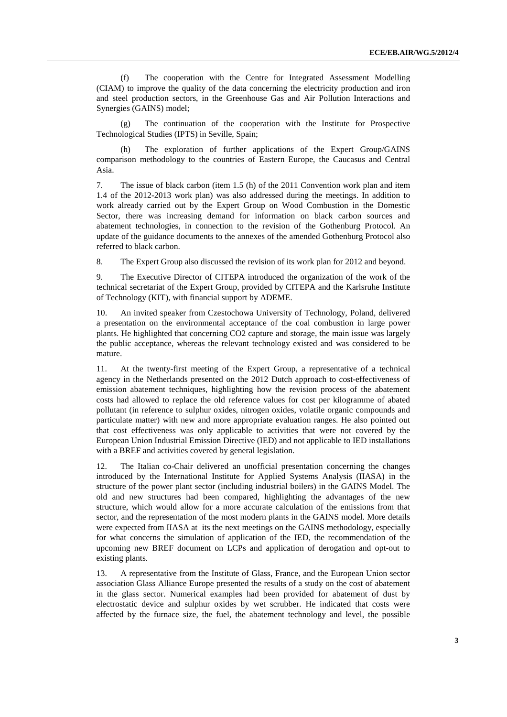(f) The cooperation with the Centre for Integrated Assessment Modelling (CIAM) to improve the quality of the data concerning the electricity production and iron and steel production sectors, in the Greenhouse Gas and Air Pollution Interactions and Synergies (GAINS) model;

(g) The continuation of the cooperation with the Institute for Prospective Technological Studies (IPTS) in Seville, Spain;

(h) The exploration of further applications of the Expert Group/GAINS comparison methodology to the countries of Eastern Europe, the Caucasus and Central Asia.

7. The issue of black carbon (item 1.5 (h) of the 2011 Convention work plan and item 1.4 of the 2012-2013 work plan) was also addressed during the meetings. In addition to work already carried out by the Expert Group on Wood Combustion in the Domestic Sector, there was increasing demand for information on black carbon sources and abatement technologies, in connection to the revision of the Gothenburg Protocol. An update of the guidance documents to the annexes of the amended Gothenburg Protocol also referred to black carbon.

8. The Expert Group also discussed the revision of its work plan for 2012 and beyond.

9. The Executive Director of CITEPA introduced the organization of the work of the technical secretariat of the Expert Group, provided by CITEPA and the Karlsruhe Institute of Technology (KIT), with financial support by ADEME.

10. An invited speaker from Czestochowa University of Technology, Poland, delivered a presentation on the environmental acceptance of the coal combustion in large power plants. He highlighted that concerning CO2 capture and storage, the main issue was largely the public acceptance, whereas the relevant technology existed and was considered to be mature.

11. At the twenty-first meeting of the Expert Group, a representative of a technical agency in the Netherlands presented on the 2012 Dutch approach to cost-effectiveness of emission abatement techniques, highlighting how the revision process of the abatement costs had allowed to replace the old reference values for cost per kilogramme of abated pollutant (in reference to sulphur oxides, nitrogen oxides, volatile organic compounds and particulate matter) with new and more appropriate evaluation ranges. He also pointed out that cost effectiveness was only applicable to activities that were not covered by the European Union Industrial Emission Directive (IED) and not applicable to IED installations with a BREF and activities covered by general legislation.

12. The Italian co-Chair delivered an unofficial presentation concerning the changes introduced by the International Institute for Applied Systems Analysis (IIASA) in the structure of the power plant sector (including industrial boilers) in the GAINS Model. The old and new structures had been compared, highlighting the advantages of the new structure, which would allow for a more accurate calculation of the emissions from that sector, and the representation of the most modern plants in the GAINS model. More details were expected from IIASA at its the next meetings on the GAINS methodology, especially for what concerns the simulation of application of the IED, the recommendation of the upcoming new BREF document on LCPs and application of derogation and opt-out to existing plants.

13. A representative from the Institute of Glass, France, and the European Union sector association Glass Alliance Europe presented the results of a study on the cost of abatement in the glass sector. Numerical examples had been provided for abatement of dust by electrostatic device and sulphur oxides by wet scrubber. He indicated that costs were affected by the furnace size, the fuel, the abatement technology and level, the possible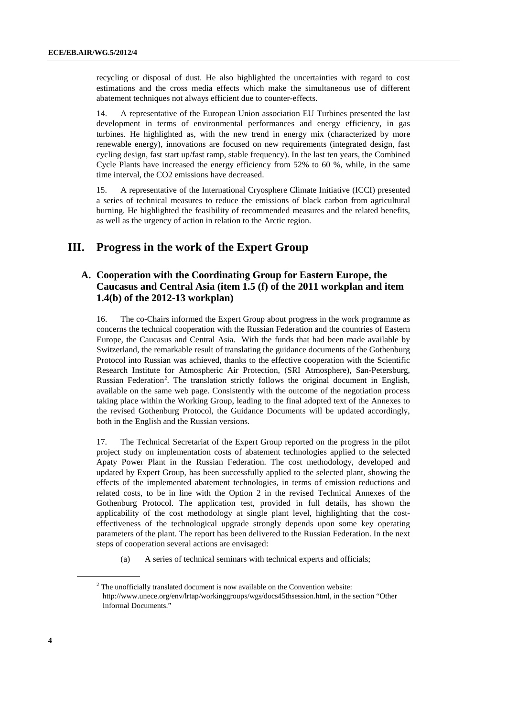recycling or disposal of dust. He also highlighted the uncertainties with regard to cost estimations and the cross media effects which make the simultaneous use of different abatement techniques not always efficient due to counter-effects.

14. A representative of the European Union association EU Turbines presented the last development in terms of environmental performances and energy efficiency, in gas turbines. He highlighted as, with the new trend in energy mix (characterized by more renewable energy), innovations are focused on new requirements (integrated design, fast cycling design, fast start up/fast ramp, stable frequency). In the last ten years, the Combined Cycle Plants have increased the energy efficiency from 52% to 60 %, while, in the same time interval, the CO2 emissions have decreased.

15. A representative of the International Cryosphere Climate Initiative (ICCI) presented a series of technical measures to reduce the emissions of black carbon from agricultural burning. He highlighted the feasibility of recommended measures and the related benefits, as well as the urgency of action in relation to the Arctic region.

### **III. Progress in the work of the Expert Group**

#### **A. Cooperation with the Coordinating Group for Eastern Europe, the Caucasus and Central Asia (item 1.5 (f) of the 2011 workplan and item 1.4(b) of the 2012-13 workplan)**

16. The co-Chairs informed the Expert Group about progress in the work programme as concerns the technical cooperation with the Russian Federation and the countries of Eastern Europe, the Caucasus and Central Asia. With the funds that had been made available by Switzerland, the remarkable result of translating the guidance documents of the Gothenburg Protocol into Russian was achieved, thanks to the effective cooperation with the Scientific Research Institute for Atmospheric Air Protection, (SRI Atmosphere), San-Petersburg, Russian Federation<sup>[2](#page-3-0)</sup>. The translation strictly follows the original document in English, available on the same web page. Consistently with the outcome of the negotiation process taking place within the Working Group, leading to the final adopted text of the Annexes to the revised Gothenburg Protocol, the Guidance Documents will be updated accordingly, both in the English and the Russian versions.

17. The Technical Secretariat of the Expert Group reported on the progress in the pilot project study on implementation costs of abatement technologies applied to the selected Apaty Power Plant in the Russian Federation. The cost methodology, developed and updated by Expert Group, has been successfully applied to the selected plant, showing the effects of the implemented abatement technologies, in terms of emission reductions and related costs, to be in line with the Option 2 in the revised Technical Annexes of the Gothenburg Protocol. The application test, provided in full details, has shown the applicability of the cost methodology at single plant level, highlighting that the costeffectiveness of the technological upgrade strongly depends upon some key operating parameters of the plant. The report has been delivered to the Russian Federation. In the next steps of cooperation several actions are envisaged:

(a) A series of technical seminars with technical experts and officials;

<span id="page-3-0"></span> $2$  The unofficially translated document is now available on the Convention website: http://www.unece.org/env/lrtap/workinggroups/wgs/docs45thsession.html, in the section "Other Informal Documents."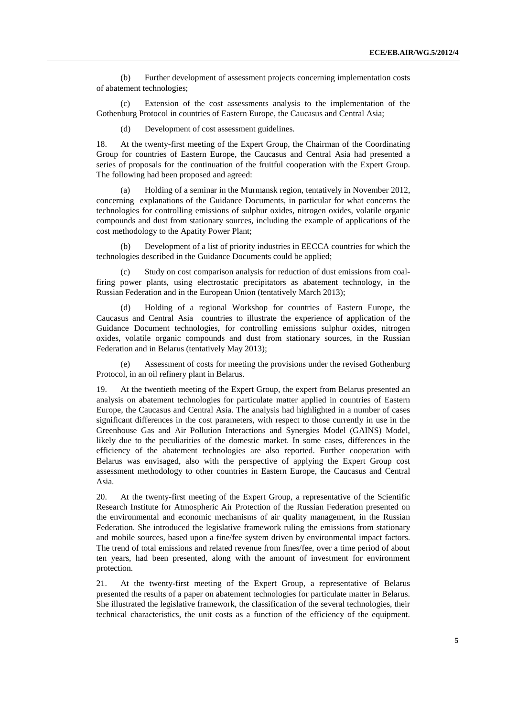(b) Further development of assessment projects concerning implementation costs of abatement technologies;

(c) Extension of the cost assessments analysis to the implementation of the Gothenburg Protocol in countries of Eastern Europe, the Caucasus and Central Asia;

(d) Development of cost assessment guidelines.

18. At the twenty-first meeting of the Expert Group, the Chairman of the Coordinating Group for countries of Eastern Europe, the Caucasus and Central Asia had presented a series of proposals for the continuation of the fruitful cooperation with the Expert Group. The following had been proposed and agreed:

(a) Holding of a seminar in the Murmansk region, tentatively in November 2012, concerning explanations of the Guidance Documents, in particular for what concerns the technologies for controlling emissions of sulphur oxides, nitrogen oxides, volatile organic compounds and dust from stationary sources, including the example of applications of the cost methodology to the Apatity Power Plant;

Development of a list of priority industries in EECCA countries for which the technologies described in the Guidance Documents could be applied;

(c) Study on cost comparison analysis for reduction of dust emissions from coalfiring power plants, using electrostatic precipitators as abatement technology, in the Russian Federation and in the European Union (tentatively March 2013);

(d) Holding of a regional Workshop for countries of Eastern Europe, the Caucasus and Central Asia countries to illustrate the experience of application of the Guidance Document technologies, for controlling emissions sulphur oxides, nitrogen oxides, volatile organic compounds and dust from stationary sources, in the Russian Federation and in Belarus (tentatively May 2013);

(e) Assessment of costs for meeting the provisions under the revised Gothenburg Protocol, in an oil refinery plant in Belarus.

19. At the twentieth meeting of the Expert Group, the expert from Belarus presented an analysis on abatement technologies for particulate matter applied in countries of Eastern Europe, the Caucasus and Central Asia. The analysis had highlighted in a number of cases significant differences in the cost parameters, with respect to those currently in use in the Greenhouse Gas and Air Pollution Interactions and Synergies Model (GAINS) Model, likely due to the peculiarities of the domestic market. In some cases, differences in the efficiency of the abatement technologies are also reported. Further cooperation with Belarus was envisaged, also with the perspective of applying the Expert Group cost assessment methodology to other countries in Eastern Europe, the Caucasus and Central Asia.

20. At the twenty-first meeting of the Expert Group, a representative of the Scientific Research Institute for Atmospheric Air Protection of the Russian Federation presented on the environmental and economic mechanisms of air quality management, in the Russian Federation. She introduced the legislative framework ruling the emissions from stationary and mobile sources, based upon a fine/fee system driven by environmental impact factors. The trend of total emissions and related revenue from fines/fee, over a time period of about ten years, had been presented, along with the amount of investment for environment protection.

21. At the twenty-first meeting of the Expert Group, a representative of Belarus presented the results of a paper on abatement technologies for particulate matter in Belarus. She illustrated the legislative framework, the classification of the several technologies, their technical characteristics, the unit costs as a function of the efficiency of the equipment.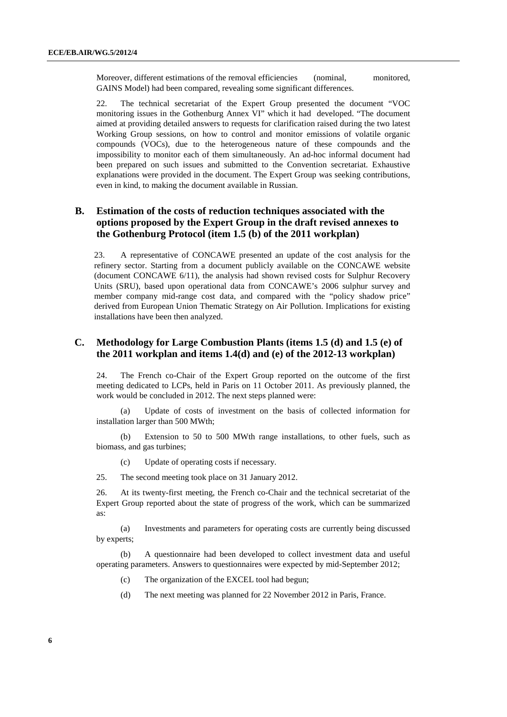Moreover, different estimations of the removal efficiencies (nominal, monitored, GAINS Model) had been compared, revealing some significant differences.

22. The technical secretariat of the Expert Group presented the document "VOC monitoring issues in the Gothenburg Annex VI" which it had developed. "The document aimed at providing detailed answers to requests for clarification raised during the two latest Working Group sessions, on how to control and monitor emissions of volatile organic compounds (VOCs), due to the heterogeneous nature of these compounds and the impossibility to monitor each of them simultaneously. An ad-hoc informal document had been prepared on such issues and submitted to the Convention secretariat. Exhaustive explanations were provided in the document. The Expert Group was seeking contributions, even in kind, to making the document available in Russian.

#### **B. Estimation of the costs of reduction techniques associated with the options proposed by the Expert Group in the draft revised annexes to the Gothenburg Protocol (item 1.5 (b) of the 2011 workplan)**

23. A representative of CONCAWE presented an update of the cost analysis for the refinery sector. Starting from a document publicly available on the CONCAWE website (document CONCAWE 6/11), the analysis had shown revised costs for Sulphur Recovery Units (SRU), based upon operational data from CONCAWE's 2006 sulphur survey and member company mid-range cost data, and compared with the "policy shadow price" derived from European Union Thematic Strategy on Air Pollution. Implications for existing installations have been then analyzed.

#### **C. Methodology for Large Combustion Plants (items 1.5 (d) and 1.5 (e) of the 2011 workplan and items 1.4(d) and (e) of the 2012-13 workplan)**

24. The French co-Chair of the Expert Group reported on the outcome of the first meeting dedicated to LCPs, held in Paris on 11 October 2011. As previously planned, the work would be concluded in 2012. The next steps planned were:

(a) Update of costs of investment on the basis of collected information for installation larger than 500 MWth;

(b) Extension to 50 to 500 MWth range installations, to other fuels, such as biomass, and gas turbines;

(c) Update of operating costs if necessary.

25. The second meeting took place on 31 January 2012.

26. At its twenty-first meeting, the French co-Chair and the technical secretariat of the Expert Group reported about the state of progress of the work, which can be summarized as:

(a) Investments and parameters for operating costs are currently being discussed by experts;

(b) A questionnaire had been developed to collect investment data and useful operating parameters. Answers to questionnaires were expected by mid-September 2012;

- (c) The organization of the EXCEL tool had begun;
- (d) The next meeting was planned for 22 November 2012 in Paris, France.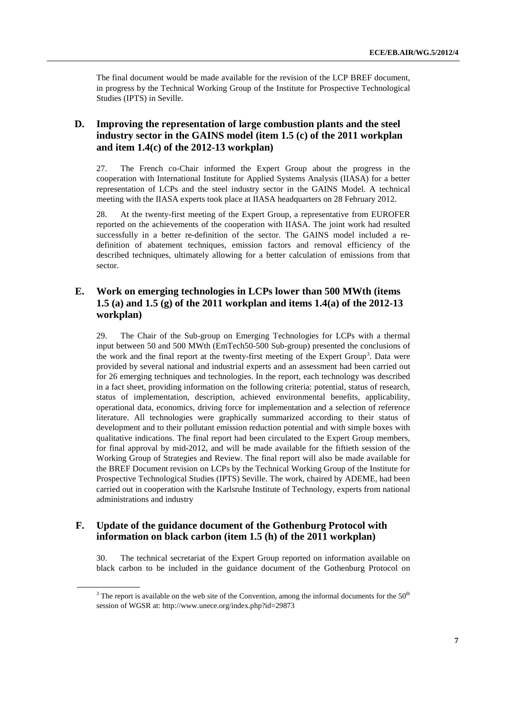The final document would be made available for the revision of the LCP BREF document, in progress by the Technical Working Group of the Institute for Prospective Technological Studies (IPTS) in Seville.

#### **D. Improving the representation of large combustion plants and the steel industry sector in the GAINS model (item 1.5 (c) of the 2011 workplan and item 1.4(c) of the 2012-13 workplan)**

27. The French co-Chair informed the Expert Group about the progress in the cooperation with International Institute for Applied Systems Analysis (IIASA) for a better representation of LCPs and the steel industry sector in the GAINS Model. A technical meeting with the IIASA experts took place at IIASA headquarters on 28 February 2012.

28. At the twenty-first meeting of the Expert Group, a representative from EUROFER reported on the achievements of the cooperation with IIASA. The joint work had resulted successfully in a better re-definition of the sector. The GAINS model included a redefinition of abatement techniques, emission factors and removal efficiency of the described techniques, ultimately allowing for a better calculation of emissions from that sector.

### **E. Work on emerging technologies in LCPs lower than 500 MWth (items 1.5 (a) and 1.5 (g) of the 2011 workplan and items 1.4(a) of the 2012-13 workplan)**

29. The Chair of the Sub-group on Emerging Technologies for LCPs with a thermal input between 50 and 500 MWth (EmTech50-500 Sub-group) presented the conclusions of the work and the final report at the twenty-first meeting of the Expert Group<sup>[3](#page-6-0)</sup>. Data were provided by several national and industrial experts and an assessment had been carried out for 26 emerging techniques and technologies. In the report, each technology was described in a fact sheet, providing information on the following criteria: potential, status of research, status of implementation, description, achieved environmental benefits, applicability, operational data, economics, driving force for implementation and a selection of reference literature. All technologies were graphically summarized according to their status of development and to their pollutant emission reduction potential and with simple boxes with qualitative indications. The final report had been circulated to the Expert Group members, for final approval by mid-2012, and will be made available for the fiftieth session of the Working Group of Strategies and Review. The final report will also be made available for the BREF Document revision on LCPs by the Technical Working Group of the Institute for Prospective Technological Studies (IPTS) Seville. The work, chaired by ADEME, had been carried out in cooperation with the Karlsruhe Institute of Technology, experts from national administrations and industry

#### **F. Update of the guidance document of the Gothenburg Protocol with information on black carbon (item 1.5 (h) of the 2011 workplan)**

30. The technical secretariat of the Expert Group reported on information available on black carbon to be included in the guidance document of the Gothenburg Protocol on

<span id="page-6-0"></span> $3$  The report is available on the web site of the Convention, among the informal documents for the  $50<sup>th</sup>$ session of WGSR at: http://www.unece.org/index.php?id=29873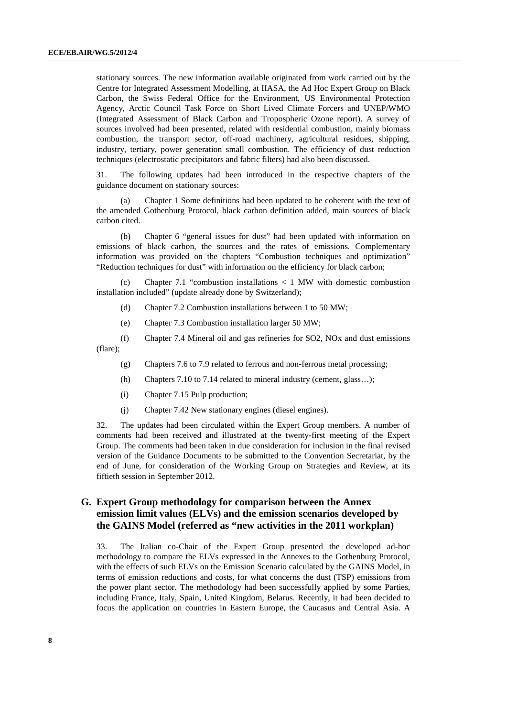stationary sources. The new information available originated from work carried out by the Centre for Integrated Assessment Modelling, at IIASA, the Ad Hoc Expert Group on Black Carbon, the Swiss Federal Office for the Environment, US Environmental Protection Agency, Arctic Council Task Force on Short Lived Climate Forcers and UNEP/WMO (Integrated Assessment of Black Carbon and Tropospheric Ozone report). A survey of sources involved had been presented, related with residential combustion, mainly biomass combustion, the transport sector, off-road machinery, agricultural residues, shipping, industry, tertiary, power generation small combustion. The efficiency of dust reduction techniques (electrostatic precipitators and fabric filters) had also been discussed.

31. The following updates had been introduced in the respective chapters of the guidance document on stationary sources:

(a) Chapter 1 Some definitions had been updated to be coherent with the text of the amended Gothenburg Protocol, black carbon definition added, main sources of black carbon cited.

(b) Chapter 6 "general issues for dust" had been updated with information on emissions of black carbon, the sources and the rates of emissions. Complementary information was provided on the chapters "Combustion techniques and optimization" "Reduction techniques for dust" with information on the efficiency for black carbon;

(c) Chapter 7.1 "combustion installations < 1 MW with domestic combustion installation included" (update already done by Switzerland);

- (d) Chapter 7.2 Combustion installations between 1 to 50 MW;
- (e) Chapter 7.3 Combustion installation larger 50 MW;

(f) Chapter 7.4 Mineral oil and gas refineries for SO2, NOx and dust emissions (flare);

- (g) Chapters 7.6 to 7.9 related to ferrous and non-ferrous metal processing;
- (h) Chapters 7.10 to 7.14 related to mineral industry (cement, glass…);
- (i) Chapter 7.15 Pulp production;
- (j) Chapter 7.42 New stationary engines (diesel engines).

32. The updates had been circulated within the Expert Group members. A number of comments had been received and illustrated at the twenty-first meeting of the Expert Group. The comments had been taken in due consideration for inclusion in the final revised version of the Guidance Documents to be submitted to the Convention Secretariat, by the end of June, for consideration of the Working Group on Strategies and Review, at its fiftieth session in September 2012.

#### **G. Expert Group methodology for comparison between the Annex emission limit values (ELVs) and the emission scenarios developed by the GAINS Model (referred as "new activities in the 2011 workplan)**

33. The Italian co-Chair of the Expert Group presented the developed ad-hoc methodology to compare the ELVs expressed in the Annexes to the Gothenburg Protocol, with the effects of such ELVs on the Emission Scenario calculated by the GAINS Model, in terms of emission reductions and costs, for what concerns the dust (TSP) emissions from the power plant sector. The methodology had been successfully applied by some Parties, including France, Italy, Spain, United Kingdom, Belarus. Recently, it had been decided to focus the application on countries in Eastern Europe, the Caucasus and Central Asia. A